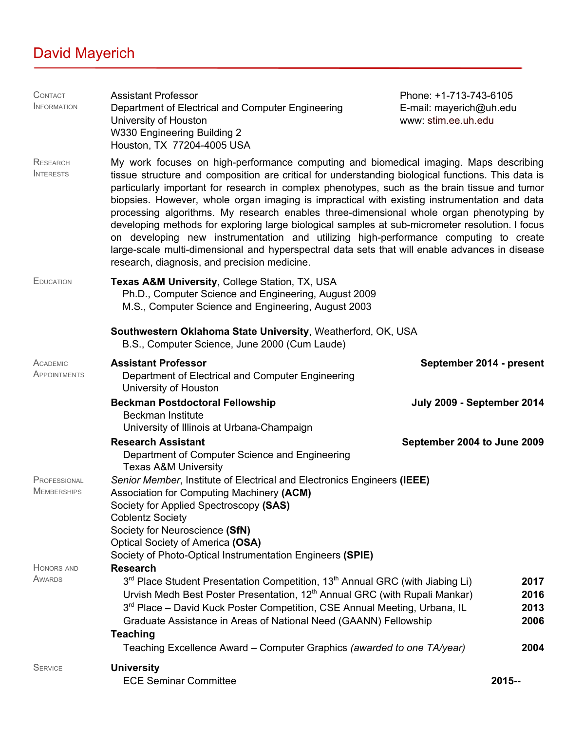## David Mayerich

| CONTACT<br><b>INFORMATION</b>       | <b>Assistant Professor</b><br>Department of Electrical and Computer Engineering<br>www: stim.ee.uh.edu<br>University of Houston<br>W330 Engineering Building 2<br>Houston, TX 77204-4005 USA                                                                                                                                                                                                                                                                                                                                                                                                                                                                                                                                                                                                                                         | Phone: +1-713-743-6105<br>E-mail: mayerich@uh.edu |
|-------------------------------------|--------------------------------------------------------------------------------------------------------------------------------------------------------------------------------------------------------------------------------------------------------------------------------------------------------------------------------------------------------------------------------------------------------------------------------------------------------------------------------------------------------------------------------------------------------------------------------------------------------------------------------------------------------------------------------------------------------------------------------------------------------------------------------------------------------------------------------------|---------------------------------------------------|
| <b>RESEARCH</b><br><b>INTERESTS</b> | My work focuses on high-performance computing and biomedical imaging. Maps describing<br>tissue structure and composition are critical for understanding biological functions. This data is<br>particularly important for research in complex phenotypes, such as the brain tissue and tumor<br>biopsies. However, whole organ imaging is impractical with existing instrumentation and data<br>processing algorithms. My research enables three-dimensional whole organ phenotyping by<br>developing methods for exploring large biological samples at sub-micrometer resolution. I focus<br>on developing new instrumentation and utilizing high-performance computing to create<br>large-scale multi-dimensional and hyperspectral data sets that will enable advances in disease<br>research, diagnosis, and precision medicine. |                                                   |
| <b>EDUCATION</b>                    | Texas A&M University, College Station, TX, USA<br>Ph.D., Computer Science and Engineering, August 2009<br>M.S., Computer Science and Engineering, August 2003                                                                                                                                                                                                                                                                                                                                                                                                                                                                                                                                                                                                                                                                        |                                                   |
|                                     | Southwestern Oklahoma State University, Weatherford, OK, USA<br>B.S., Computer Science, June 2000 (Cum Laude)                                                                                                                                                                                                                                                                                                                                                                                                                                                                                                                                                                                                                                                                                                                        |                                                   |
| ACADEMIC<br>APPOINTMENTS            | <b>Assistant Professor</b><br>Department of Electrical and Computer Engineering<br>University of Houston                                                                                                                                                                                                                                                                                                                                                                                                                                                                                                                                                                                                                                                                                                                             | September 2014 - present                          |
|                                     | <b>Beckman Postdoctoral Fellowship</b><br><b>Beckman Institute</b><br>University of Illinois at Urbana-Champaign                                                                                                                                                                                                                                                                                                                                                                                                                                                                                                                                                                                                                                                                                                                     | July 2009 - September 2014                        |
|                                     | <b>Research Assistant</b><br>Department of Computer Science and Engineering<br><b>Texas A&amp;M University</b>                                                                                                                                                                                                                                                                                                                                                                                                                                                                                                                                                                                                                                                                                                                       | September 2004 to June 2009                       |
| PROFESSIONAL<br><b>MEMBERSHIPS</b>  | Senior Member, Institute of Electrical and Electronics Engineers (IEEE)<br>Association for Computing Machinery (ACM)<br>Society for Applied Spectroscopy (SAS)<br><b>Coblentz Society</b><br>Society for Neuroscience (SfN)<br>Optical Society of America (OSA)<br>Society of Photo-Optical Instrumentation Engineers (SPIE)                                                                                                                                                                                                                                                                                                                                                                                                                                                                                                         |                                                   |
| <b>HONORS AND</b><br>AWARDS         | <b>Research</b><br>3 <sup>rd</sup> Place Student Presentation Competition, 13 <sup>th</sup> Annual GRC (with Jiabing Li)<br>Urvish Medh Best Poster Presentation, 12 <sup>th</sup> Annual GRC (with Rupali Mankar)<br>3rd Place - David Kuck Poster Competition, CSE Annual Meeting, Urbana, IL<br>Graduate Assistance in Areas of National Need (GAANN) Fellowship<br><b>Teaching</b><br>Teaching Excellence Award - Computer Graphics (awarded to one TA/year)                                                                                                                                                                                                                                                                                                                                                                     | 2017<br>2016<br>2013<br>2006<br>2004              |
| <b>SERVICE</b>                      | <b>University</b><br><b>ECE Seminar Committee</b>                                                                                                                                                                                                                                                                                                                                                                                                                                                                                                                                                                                                                                                                                                                                                                                    | 2015--                                            |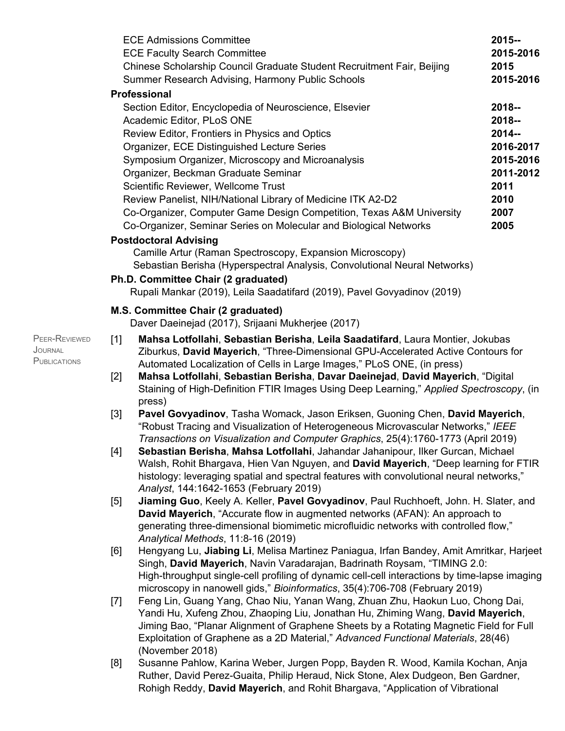|       | <b>ECE Admissions Committee</b>                                                                                                                                                                                                                                                                                                                                                                   | 2015--            |
|-------|---------------------------------------------------------------------------------------------------------------------------------------------------------------------------------------------------------------------------------------------------------------------------------------------------------------------------------------------------------------------------------------------------|-------------------|
|       | <b>ECE Faculty Search Committee</b>                                                                                                                                                                                                                                                                                                                                                               | 2015-2016         |
|       | Chinese Scholarship Council Graduate Student Recruitment Fair, Beijing<br>Summer Research Advising, Harmony Public Schools                                                                                                                                                                                                                                                                        | 2015<br>2015-2016 |
|       | <b>Professional</b>                                                                                                                                                                                                                                                                                                                                                                               |                   |
|       | Section Editor, Encyclopedia of Neuroscience, Elsevier                                                                                                                                                                                                                                                                                                                                            | 2018--            |
|       | Academic Editor, PLoS ONE                                                                                                                                                                                                                                                                                                                                                                         | 2018--            |
|       | Review Editor, Frontiers in Physics and Optics                                                                                                                                                                                                                                                                                                                                                    | 2014 --           |
|       | Organizer, ECE Distinguished Lecture Series                                                                                                                                                                                                                                                                                                                                                       | 2016-2017         |
|       | Symposium Organizer, Microscopy and Microanalysis                                                                                                                                                                                                                                                                                                                                                 | 2015-2016         |
|       | Organizer, Beckman Graduate Seminar                                                                                                                                                                                                                                                                                                                                                               | 2011-2012         |
|       | Scientific Reviewer, Wellcome Trust                                                                                                                                                                                                                                                                                                                                                               | 2011              |
|       | Review Panelist, NIH/National Library of Medicine ITK A2-D2                                                                                                                                                                                                                                                                                                                                       | 2010              |
|       | Co-Organizer, Computer Game Design Competition, Texas A&M University                                                                                                                                                                                                                                                                                                                              | 2007              |
|       | Co-Organizer, Seminar Series on Molecular and Biological Networks                                                                                                                                                                                                                                                                                                                                 | 2005              |
|       | <b>Postdoctoral Advising</b>                                                                                                                                                                                                                                                                                                                                                                      |                   |
|       | Camille Artur (Raman Spectroscopy, Expansion Microscopy)                                                                                                                                                                                                                                                                                                                                          |                   |
|       | Sebastian Berisha (Hyperspectral Analysis, Convolutional Neural Networks)                                                                                                                                                                                                                                                                                                                         |                   |
|       | Ph.D. Committee Chair (2 graduated)                                                                                                                                                                                                                                                                                                                                                               |                   |
|       | Rupali Mankar (2019), Leila Saadatifard (2019), Pavel Govyadinov (2019)                                                                                                                                                                                                                                                                                                                           |                   |
|       | M.S. Committee Chair (2 graduated)                                                                                                                                                                                                                                                                                                                                                                |                   |
|       | Daver Daeinejad (2017), Srijaani Mukherjee (2017)                                                                                                                                                                                                                                                                                                                                                 |                   |
| $[2]$ | Ziburkus, David Mayerich, "Three-Dimensional GPU-Accelerated Active Contours for<br>Automated Localization of Cells in Large Images," PLoS ONE, (in press)<br>Mahsa Lotfollahi, Sebastian Berisha, Davar Daeinejad, David Mayerich, "Digital<br>Staining of High-Definition FTIR Images Using Deep Learning," Applied Spectroscopy, (in<br>press)                                                 |                   |
| $[3]$ | Pavel Govyadinov, Tasha Womack, Jason Eriksen, Guoning Chen, David Mayerich,<br>"Robust Tracing and Visualization of Heterogeneous Microvascular Networks," IEEE                                                                                                                                                                                                                                  |                   |
|       | Transactions on Visualization and Computer Graphics, 25(4):1760-1773 (April 2019)<br>Sebastian Berisha, Mahsa Lotfollahi, Jahandar Jahanipour, Ilker Gurcan, Michael<br>Walsh, Rohit Bhargava, Hien Van Nguyen, and David Mayerich, "Deep learning for FTIR<br>histology: leveraging spatial and spectral features with convolutional neural networks,"<br>Analyst, 144:1642-1653 (February 2019) |                   |
| [5]   | Jiaming Guo, Keely A. Keller, Pavel Govyadinov, Paul Ruchhoeft, John. H. Slater, and                                                                                                                                                                                                                                                                                                              |                   |
|       | David Mayerich, "Accurate flow in augmented networks (AFAN): An approach to                                                                                                                                                                                                                                                                                                                       |                   |
|       | generating three-dimensional biomimetic microfluidic networks with controlled flow,"                                                                                                                                                                                                                                                                                                              |                   |
|       | Analytical Methods, 11:8-16 (2019)                                                                                                                                                                                                                                                                                                                                                                |                   |
| [6]   | Hengyang Lu, Jiabing Li, Melisa Martinez Paniagua, Irfan Bandey, Amit Amritkar, Harjeet                                                                                                                                                                                                                                                                                                           |                   |
|       | Singh, David Mayerich, Navin Varadarajan, Badrinath Roysam, "TIMING 2.0:                                                                                                                                                                                                                                                                                                                          |                   |
|       | High-throughput single-cell profiling of dynamic cell-cell interactions by time-lapse imaging<br>microscopy in nanowell gids," Bioinformatics, 35(4):706-708 (February 2019)                                                                                                                                                                                                                      |                   |
| $[7]$ | Feng Lin, Guang Yang, Chao Niu, Yanan Wang, Zhuan Zhu, Haokun Luo, Chong Dai,                                                                                                                                                                                                                                                                                                                     |                   |
|       | Yandi Hu, Xufeng Zhou, Zhaoping Liu, Jonathan Hu, Zhiming Wang, David Mayerich,                                                                                                                                                                                                                                                                                                                   |                   |
|       | Jiming Bao, "Planar Alignment of Graphene Sheets by a Rotating Magnetic Field for Full                                                                                                                                                                                                                                                                                                            |                   |
|       | Exploitation of Graphene as a 2D Material," Advanced Functional Materials, 28(46)                                                                                                                                                                                                                                                                                                                 |                   |
|       | (November 2018)                                                                                                                                                                                                                                                                                                                                                                                   |                   |
| [8]   | Susanne Pahlow, Karina Weber, Jurgen Popp, Bayden R. Wood, Kamila Kochan, Anja                                                                                                                                                                                                                                                                                                                    |                   |
|       | Ruther, David Perez-Guaita, Philip Heraud, Nick Stone, Alex Dudgeon, Ben Gardner,<br>Rohigh Reddy, David Mayerich, and Rohit Bhargava, "Application of Vibrational                                                                                                                                                                                                                                |                   |

PEER-REVIEWED JOURNAL **PUBLICATIONS**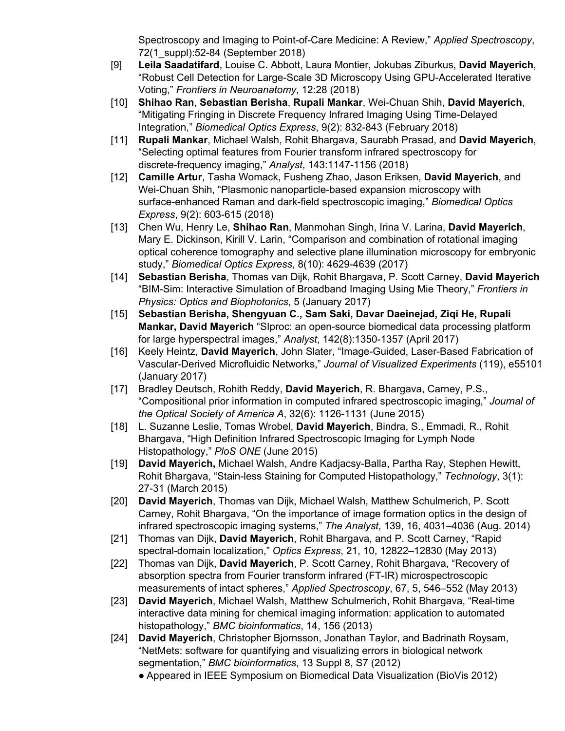Spectroscopy and Imaging to Point-of-Care Medicine: A Review," *Applied Spectroscopy*, 72(1\_suppl):52-84 (September 2018)

- [9] **Leila Saadatifard**, Louise C. Abbott, Laura Montier, Jokubas Ziburkus, **David Mayerich**, "Robust Cell Detection for Large-Scale 3D Microscopy Using GPU-Accelerated Iterative Voting," *Frontiers in Neuroanatomy*, 12:28 (2018)
- [10] **Shihao Ran**, **Sebastian Berisha**, **Rupali Mankar**, Wei-Chuan Shih, **David Mayerich**, "Mitigating Fringing in Discrete Frequency Infrared Imaging Using Time-Delayed Integration," *Biomedical Optics Express*, 9(2): 832-843 (February 2018)
- [11] **Rupali Mankar**, Michael Walsh, Rohit Bhargava, Saurabh Prasad, and **David Mayerich**, "Selecting optimal features from Fourier transform infrared spectroscopy for discrete-frequency imaging," *Analyst*, 143:1147-1156 (2018)
- [12] **Camille Artur**, Tasha Womack, Fusheng Zhao, Jason Eriksen, **David Mayerich**, and Wei-Chuan Shih, "Plasmonic nanoparticle-based expansion microscopy with surface-enhanced Raman and dark-field spectroscopic imaging," *Biomedical Optics Express*, 9(2): 603-615 (2018)
- [13] Chen Wu, Henry Le, **Shihao Ran**, Manmohan Singh, Irina V. Larina, **David Mayerich**, Mary E. Dickinson, Kirill V. Larin, "Comparison and combination of rotational imaging optical coherence tomography and selective plane illumination microscopy for embryonic study," *Biomedical Optics Express*, 8(10): 4629-4639 (2017)
- [14] **Sebastian Berisha**, Thomas van Dijk, Rohit Bhargava, P. Scott Carney, **David Mayerich** "BIM-Sim: Interactive Simulation of Broadband Imaging Using Mie Theory," *Frontiers in Physics: Optics and Biophotonics*, 5 (January 2017)
- [15] **Sebastian Berisha, Shengyuan C., Sam Saki, Davar Daeinejad, Ziqi He, Rupali Mankar, David Mayerich** "SIproc: an open-source biomedical data processing platform for large hyperspectral images," *Analyst*, 142(8):1350-1357 (April 2017)
- [16] Keely Heintz, **David Mayerich**, John Slater, "Image-Guided, Laser-Based Fabrication of Vascular-Derived Microfluidic Networks," *Journal of Visualized Experiments* (119), e55101 (January 2017)
- [17] Bradley Deutsch, Rohith Reddy, **David Mayerich**, R. Bhargava, Carney, P.S., "Compositional prior information in computed infrared spectroscopic imaging," *Journal of the Optical Society of America A*, 32(6): 1126-1131 (June 2015)
- [18] L. Suzanne Leslie, Tomas Wrobel, **David Mayerich**, Bindra, S., Emmadi, R., Rohit Bhargava, "High Definition Infrared Spectroscopic Imaging for Lymph Node Histopathology," *PloS ONE* (June 2015)
- [19] **David Mayerich,** Michael Walsh, Andre Kadjacsy-Balla, Partha Ray, Stephen Hewitt, Rohit Bhargava, "Stain-less Staining for Computed Histopathology," *Technology*, 3(1): 27-31 (March 2015)
- [20] **David Mayerich**, Thomas van Dijk, Michael Walsh, Matthew Schulmerich, P. Scott Carney, Rohit Bhargava, "On the importance of image formation optics in the design of infrared spectroscopic imaging systems," *The Analyst*, 139, 16, 4031–4036 (Aug. 2014)
- [21] Thomas van Dijk, **David Mayerich**, Rohit Bhargava, and P. Scott Carney, "Rapid spectral-domain localization," *Optics Express*, 21, 10, 12822–12830 (May 2013)
- [22] Thomas van Dijk, **David Mayerich**, P. Scott Carney, Rohit Bhargava, "Recovery of absorption spectra from Fourier transform infrared (FT-IR) microspectroscopic measurements of intact spheres," *Applied Spectroscopy*, 67, 5, 546–552 (May 2013)
- [23] **David Mayerich**, Michael Walsh, Matthew Schulmerich, Rohit Bhargava, "Real-time interactive data mining for chemical imaging information: application to automated histopathology," *BMC bioinformatics*, 14, 156 (2013)
- [24] **David Mayerich**, Christopher Bjornsson, Jonathan Taylor, and Badrinath Roysam, "NetMets: software for quantifying and visualizing errors in biological network segmentation," *BMC bioinformatics*, 13 Suppl 8, S7 (2012)
	- Appeared in IEEE Symposium on Biomedical Data Visualization (BioVis 2012)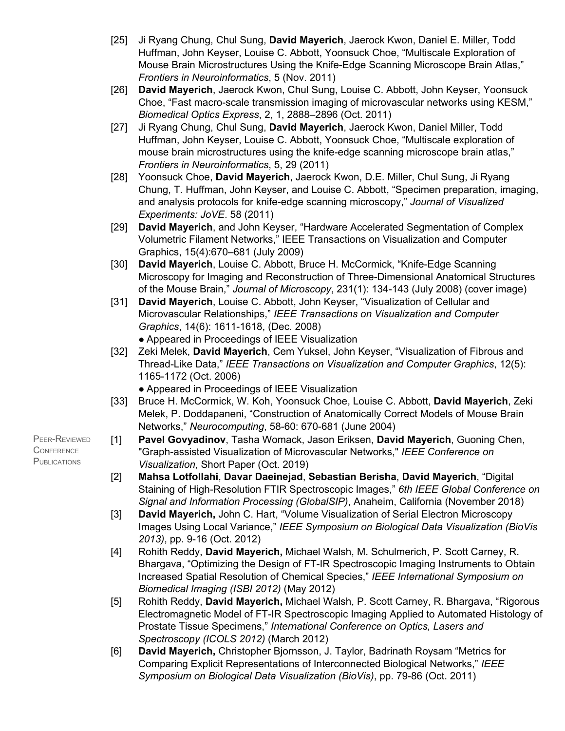- [25] Ji Ryang Chung, Chul Sung, **David Mayerich**, Jaerock Kwon, Daniel E. Miller, Todd Huffman, John Keyser, Louise C. Abbott, Yoonsuck Choe, "Multiscale Exploration of Mouse Brain Microstructures Using the Knife-Edge Scanning Microscope Brain Atlas," *Frontiers in Neuroinformatics*, 5 (Nov. 2011)
- [26] **David Mayerich**, Jaerock Kwon, Chul Sung, Louise C. Abbott, John Keyser, Yoonsuck Choe, "Fast macro-scale transmission imaging of microvascular networks using KESM," *Biomedical Optics Express*, 2, 1, 2888–2896 (Oct. 2011)
- [27] Ji Ryang Chung, Chul Sung, **David Mayerich**, Jaerock Kwon, Daniel Miller, Todd Huffman, John Keyser, Louise C. Abbott, Yoonsuck Choe, "Multiscale exploration of mouse brain microstructures using the knife-edge scanning microscope brain atlas," *Frontiers in Neuroinformatics*, 5, 29 (2011)
- [28] Yoonsuck Choe, **David Mayerich**, Jaerock Kwon, D.E. Miller, Chul Sung, Ji Ryang Chung, T. Huffman, John Keyser, and Louise C. Abbott, "Specimen preparation, imaging, and analysis protocols for knife-edge scanning microscopy," *Journal of Visualized Experiments: JoVE*. 58 (2011)
- [29] **David Mayerich**, and John Keyser, "Hardware Accelerated Segmentation of Complex Volumetric Filament Networks," IEEE Transactions on Visualization and Computer Graphics, 15(4):670–681 (July 2009)
- [30] **David Mayerich**, Louise C. Abbott, Bruce H. McCormick, "Knife-Edge Scanning Microscopy for Imaging and Reconstruction of Three-Dimensional Anatomical Structures of the Mouse Brain," *Journal of Microscopy*, 231(1): 134-143 (July 2008) (cover image)
- [31] **David Mayerich**, Louise C. Abbott, John Keyser, "Visualization of Cellular and Microvascular Relationships," *IEEE Transactions on Visualization and Computer Graphics*, 14(6): 1611-1618, (Dec. 2008) ● Appeared in Proceedings of IEEE Visualization
- [32] Zeki Melek, **David Mayerich**, Cem Yuksel, John Keyser, "Visualization of Fibrous and Thread-Like Data," *IEEE Transactions on Visualization and Computer Graphics*, 12(5): 1165-1172 (Oct. 2006)
	- Appeared in Proceedings of IEEE Visualization
- [33] Bruce H. McCormick, W. Koh, Yoonsuck Choe, Louise C. Abbott, **David Mayerich**, Zeki Melek, P. Doddapaneni, "Construction of Anatomically Correct Models of Mouse Brain Networks," *Neurocomputing*, 58-60: 670-681 (June 2004)
- [1] **Pavel Govyadinov**, Tasha Womack, Jason Eriksen, **David Mayerich**, Guoning Chen, "Graph-assisted Visualization of Microvascular Networks," *IEEE Conference on Visualization*, Short Paper (Oct. 2019)
- [2] **Mahsa Lotfollahi**, **Davar Daeinejad**, **Sebastian Berisha**, **David Mayerich**, "Digital Staining of High-Resolution FTIR Spectroscopic Images," *6th IEEE Global Conference on Signal and Information Processing (GlobalSIP)*, Anaheim, California (November 2018)
- [3] **David Mayerich,** John C. Hart, "Volume Visualization of Serial Electron Microscopy Images Using Local Variance," *IEEE Symposium on Biological Data Visualization (BioVis 2013)*, pp. 9-16 (Oct. 2012)
- [4] Rohith Reddy, **David Mayerich,** Michael Walsh, M. Schulmerich, P. Scott Carney, R. Bhargava, "Optimizing the Design of FT-IR Spectroscopic Imaging Instruments to Obtain Increased Spatial Resolution of Chemical Species," *IEEE International Symposium on Biomedical Imaging (ISBI 2012)* (May 2012)
- [5] Rohith Reddy, **David Mayerich,** Michael Walsh, P. Scott Carney, R. Bhargava, "Rigorous Electromagnetic Model of FT-IR Spectroscopic Imaging Applied to Automated Histology of Prostate Tissue Specimens," *International Conference on Optics, Lasers and Spectroscopy (ICOLS 2012)* (March 2012)
- [6] **David Mayerich,** Christopher Bjornsson, J. Taylor, Badrinath Roysam "Metrics for Comparing Explicit Representations of Interconnected Biological Networks," *IEEE Symposium on Biological Data Visualization (BioVis)*, pp. 79-86 (Oct. 2011)

PEER-REVIEWED **CONFERENCE PUBLICATIONS**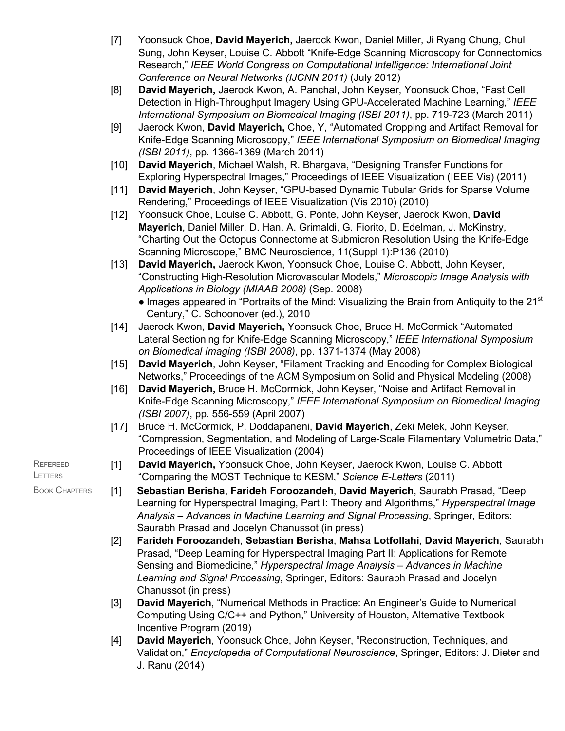- [7] Yoonsuck Choe, **David Mayerich,** Jaerock Kwon, Daniel Miller, Ji Ryang Chung, Chul Sung, John Keyser, Louise C. Abbott "Knife-Edge Scanning Microscopy for Connectomics Research," *IEEE World Congress on Computational Intelligence: International Joint Conference on Neural Networks (IJCNN 2011)* (July 2012)
- [8] **David Mayerich,** Jaerock Kwon, A. Panchal, John Keyser, Yoonsuck Choe, "Fast Cell Detection in High-Throughput Imagery Using GPU-Accelerated Machine Learning," *IEEE International Symposium on Biomedical Imaging (ISBI 2011)*, pp. 719-723 (March 2011)
- [9] Jaerock Kwon, **David Mayerich,** Choe, Y, "Automated Cropping and Artifact Removal for Knife-Edge Scanning Microscopy," *IEEE International Symposium on Biomedical Imaging (ISBI 2011)*, pp. 1366-1369 (March 2011)
- [10] **David Mayerich**, Michael Walsh, R. Bhargava, "Designing Transfer Functions for Exploring Hyperspectral Images," Proceedings of IEEE Visualization (IEEE Vis) (2011)
- [11] **David Mayerich**, John Keyser, "GPU-based Dynamic Tubular Grids for Sparse Volume Rendering," Proceedings of IEEE Visualization (Vis 2010) (2010)
- [12] Yoonsuck Choe, Louise C. Abbott, G. Ponte, John Keyser, Jaerock Kwon, **David Mayerich**, Daniel Miller, D. Han, A. Grimaldi, G. Fiorito, D. Edelman, J. McKinstry, "Charting Out the Octopus Connectome at Submicron Resolution Using the Knife-Edge Scanning Microscope," BMC Neuroscience, 11(Suppl 1):P136 (2010)
- [13] **David Mayerich,** Jaerock Kwon, Yoonsuck Choe, Louise C. Abbott, John Keyser, "Constructing High-Resolution Microvascular Models," *Microscopic Image Analysis with Applications in Biology (MIAAB 2008)* (Sep. 2008)
	- Images appeared in "Portraits of the Mind: Visualizing the Brain from Antiquity to the 21<sup>st</sup> Century," C. Schoonover (ed.), 2010
- [14] Jaerock Kwon, **David Mayerich,** Yoonsuck Choe, Bruce H. McCormick "Automated Lateral Sectioning for Knife-Edge Scanning Microscopy," *IEEE International Symposium on Biomedical Imaging (ISBI 2008)*, pp. 1371-1374 (May 2008)
- [15] **David Mayerich**, John Keyser, "Filament Tracking and Encoding for Complex Biological Networks," Proceedings of the ACM Symposium on Solid and Physical Modeling (2008)
- [16] **David Mayerich,** Bruce H. McCormick, John Keyser, "Noise and Artifact Removal in Knife-Edge Scanning Microscopy," *IEEE International Symposium on Biomedical Imaging (ISBI 2007)*, pp. 556-559 (April 2007)
- [17] Bruce H. McCormick, P. Doddapaneni, **David Mayerich**, Zeki Melek, John Keyser, "Compression, Segmentation, and Modeling of Large-Scale Filamentary Volumetric Data," Proceedings of IEEE Visualization (2004)
- [1] **David Mayerich,** Yoonsuck Choe, John Keyser, Jaerock Kwon, Louise C. Abbott "Comparing the MOST Technique to KESM," *Science E-Letters* (2011)

**REFEREED LETTERS** 

- BOOK CHAPTERS [1] **Sebastian Berisha**, **Farideh Foroozandeh**, **David Mayerich**, Saurabh Prasad, "Deep Learning for Hyperspectral Imaging, Part I: Theory and Algorithms," *Hyperspectral Image Analysis – Advances in Machine Learning and Signal Processing*, Springer, Editors: Saurabh Prasad and Jocelyn Chanussot (in press)
	- [2] **Farideh Foroozandeh**, **Sebastian Berisha**, **Mahsa Lotfollahi**, **David Mayerich**, Saurabh Prasad, "Deep Learning for Hyperspectral Imaging Part II: Applications for Remote Sensing and Biomedicine," *Hyperspectral Image Analysis – Advances in Machine Learning and Signal Processing*, Springer, Editors: Saurabh Prasad and Jocelyn Chanussot (in press)
	- [3] **David Mayerich**, "Numerical Methods in Practice: An Engineer's Guide to Numerical Computing Using C/C++ and Python," University of Houston, Alternative Textbook Incentive Program (2019)
	- [4] **David Mayerich**, Yoonsuck Choe, John Keyser, "Reconstruction, Techniques, and Validation," *Encyclopedia of Computational Neuroscience*, Springer, Editors: J. Dieter and J. Ranu (2014)